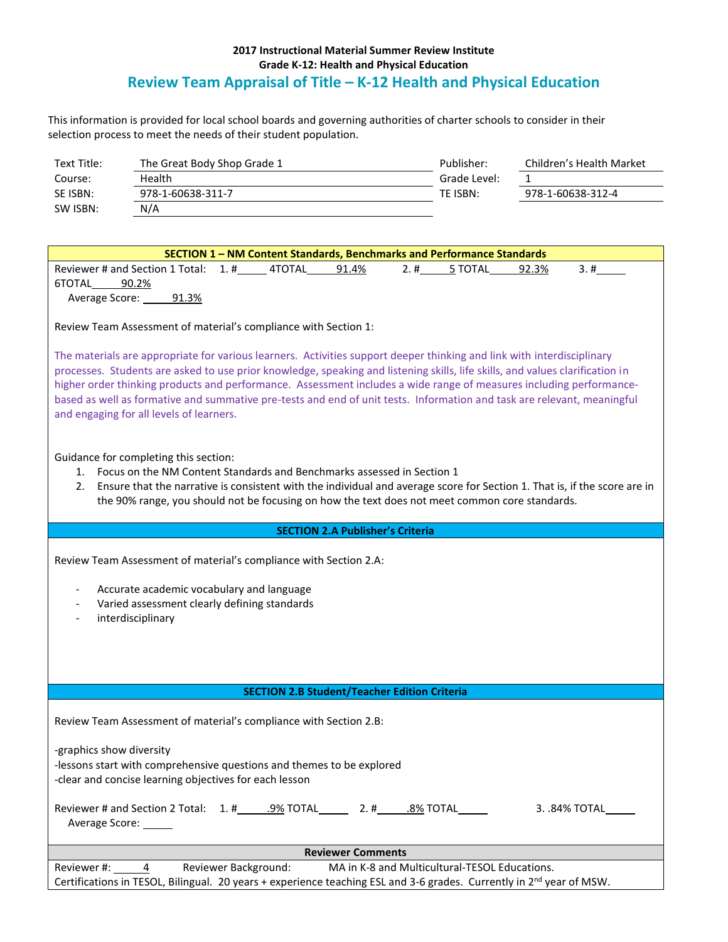## **2017 Instructional Material Summer Review Institute Grade K-12: Health and Physical Education Review Team Appraisal of Title – K-12 Health and Physical Education**

This information is provided for local school boards and governing authorities of charter schools to consider in their selection process to meet the needs of their student population.

| Text Title: | The Great Body Shop Grade 1 | Publisher:   | Children's Health Market |
|-------------|-----------------------------|--------------|--------------------------|
| Course:     | Health                      | Grade Level: |                          |
| SE ISBN:    | 978-1-60638-311-7           | TE ISBN:     | 978-1-60638-312-4        |
| SW ISBN:    | N/A                         |              |                          |

| SECTION 1 - NM Content Standards, Benchmarks and Performance Standards                                                                                                                                                        |  |  |
|-------------------------------------------------------------------------------------------------------------------------------------------------------------------------------------------------------------------------------|--|--|
| 2.#<br>Reviewer # and Section 1 Total: 1. # 4TOTAL 91.4%<br>5 TOTAL<br>92.3%<br>3.#                                                                                                                                           |  |  |
| 6TOTAL 90.2%                                                                                                                                                                                                                  |  |  |
| Average Score: 91.3%                                                                                                                                                                                                          |  |  |
|                                                                                                                                                                                                                               |  |  |
| Review Team Assessment of material's compliance with Section 1:                                                                                                                                                               |  |  |
|                                                                                                                                                                                                                               |  |  |
| The materials are appropriate for various learners. Activities support deeper thinking and link with interdisciplinary                                                                                                        |  |  |
| processes. Students are asked to use prior knowledge, speaking and listening skills, life skills, and values clarification in                                                                                                 |  |  |
| higher order thinking products and performance. Assessment includes a wide range of measures including performance-                                                                                                           |  |  |
| based as well as formative and summative pre-tests and end of unit tests. Information and task are relevant, meaningful                                                                                                       |  |  |
| and engaging for all levels of learners.                                                                                                                                                                                      |  |  |
|                                                                                                                                                                                                                               |  |  |
|                                                                                                                                                                                                                               |  |  |
| Guidance for completing this section:                                                                                                                                                                                         |  |  |
| 1. Focus on the NM Content Standards and Benchmarks assessed in Section 1                                                                                                                                                     |  |  |
| 2. Ensure that the narrative is consistent with the individual and average score for Section 1. That is, if the score are in                                                                                                  |  |  |
| the 90% range, you should not be focusing on how the text does not meet common core standards.                                                                                                                                |  |  |
|                                                                                                                                                                                                                               |  |  |
| <b>SECTION 2.A Publisher's Criteria</b>                                                                                                                                                                                       |  |  |
| Review Team Assessment of material's compliance with Section 2.A:<br>Accurate academic vocabulary and language<br>Varied assessment clearly defining standards<br>interdisciplinary                                           |  |  |
| <b>SECTION 2.B Student/Teacher Edition Criteria</b>                                                                                                                                                                           |  |  |
|                                                                                                                                                                                                                               |  |  |
| Review Team Assessment of material's compliance with Section 2.B:                                                                                                                                                             |  |  |
|                                                                                                                                                                                                                               |  |  |
| -graphics show diversity                                                                                                                                                                                                      |  |  |
| -lessons start with comprehensive questions and themes to be explored                                                                                                                                                         |  |  |
| -clear and concise learning objectives for each lesson                                                                                                                                                                        |  |  |
|                                                                                                                                                                                                                               |  |  |
| 3. .84% TOTAL                                                                                                                                                                                                                 |  |  |
| Average Score: ______                                                                                                                                                                                                         |  |  |
|                                                                                                                                                                                                                               |  |  |
| <b>Reviewer Comments</b>                                                                                                                                                                                                      |  |  |
| Reviewer Background:<br>MA in K-8 and Multicultural-TESOL Educations.<br>Reviewer #:<br>4<br>Certifications in TESOL, Bilingual. 20 years + experience teaching ESL and 3-6 grades. Currently in 2 <sup>nd</sup> year of MSW. |  |  |